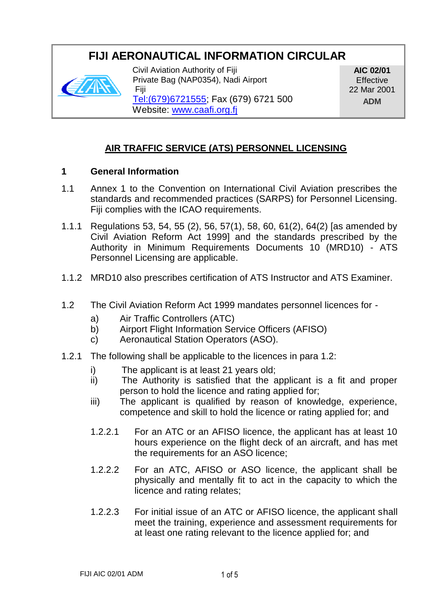# **FIJI AERONAUTICAL INFORMATION CIRCULAR**



Civil Aviation Authority of Fiji Private Bag (NAP0354), Nadi Airport Fiji

**AIC 02/01 Effective** 22 Mar 2001 **ADM**

[Tel:\(679\)6721555;](Tel:(679)6721555) Fax (679) 6721 500 Website: [www.caafi.org.fj](http://www.caafi.org.fj/)

## **AIR TRAFFIC SERVICE (ATS) PERSONNEL LICENSING**

#### **1 General Information**

- 1.1 Annex 1 to the Convention on International Civil Aviation prescribes the standards and recommended practices (SARPS) for Personnel Licensing. Fiji complies with the ICAO requirements.
- 1.1.1 Regulations 53, 54, 55 (2), 56, 57(1), 58, 60, 61(2), 64(2) [as amended by Civil Aviation Reform Act 1999] and the standards prescribed by the Authority in Minimum Requirements Documents 10 (MRD10) - ATS Personnel Licensing are applicable.
- 1.1.2 MRD10 also prescribes certification of ATS Instructor and ATS Examiner.
- 1.2 The Civil Aviation Reform Act 1999 mandates personnel licences for
	- a) Air Traffic Controllers (ATC)
	- b) Airport Flight Information Service Officers (AFISO)
	- c) Aeronautical Station Operators (ASO).
- 1.2.1 The following shall be applicable to the licences in para 1.2:
	- i) The applicant is at least 21 years old;
	- ii) The Authority is satisfied that the applicant is a fit and proper person to hold the licence and rating applied for;
	- iii) The applicant is qualified by reason of knowledge, experience, competence and skill to hold the licence or rating applied for; and
	- 1.2.2.1 For an ATC or an AFISO licence, the applicant has at least 10 hours experience on the flight deck of an aircraft, and has met the requirements for an ASO licence;
	- 1.2.2.2 For an ATC, AFISO or ASO licence, the applicant shall be physically and mentally fit to act in the capacity to which the licence and rating relates;
	- 1.2.2.3 For initial issue of an ATC or AFISO licence, the applicant shall meet the training, experience and assessment requirements for at least one rating relevant to the licence applied for; and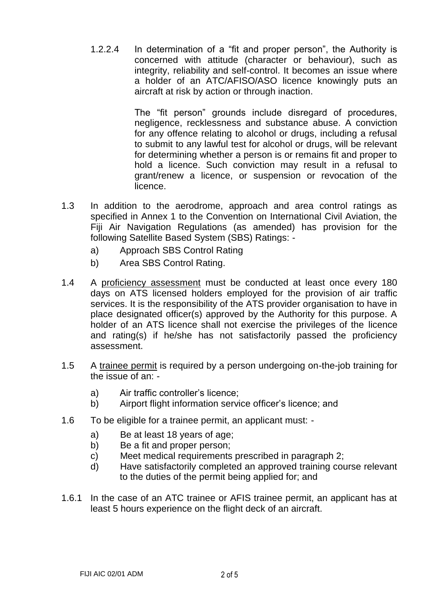1.2.2.4 In determination of a "fit and proper person", the Authority is concerned with attitude (character or behaviour), such as integrity, reliability and self-control. It becomes an issue where a holder of an ATC/AFISO/ASO licence knowingly puts an aircraft at risk by action or through inaction.

> The "fit person" grounds include disregard of procedures, negligence, recklessness and substance abuse. A conviction for any offence relating to alcohol or drugs, including a refusal to submit to any lawful test for alcohol or drugs, will be relevant for determining whether a person is or remains fit and proper to hold a licence. Such conviction may result in a refusal to grant/renew a licence, or suspension or revocation of the licence.

- 1.3 In addition to the aerodrome, approach and area control ratings as specified in Annex 1 to the Convention on International Civil Aviation, the Fiji Air Navigation Regulations (as amended) has provision for the following Satellite Based System (SBS) Ratings:
	- a) Approach SBS Control Rating
	- b) Area SBS Control Rating.
- 1.4 A proficiency assessment must be conducted at least once every 180 days on ATS licensed holders employed for the provision of air traffic services. It is the responsibility of the ATS provider organisation to have in place designated officer(s) approved by the Authority for this purpose. A holder of an ATS licence shall not exercise the privileges of the licence and rating(s) if he/she has not satisfactorily passed the proficiency assessment.
- 1.5 A trainee permit is required by a person undergoing on-the-job training for the issue of an:
	- a) Air traffic controller's licence;
	- b) Airport flight information service officer's licence; and
- 1.6 To be eligible for a trainee permit, an applicant must:
	- a) Be at least 18 years of age;<br>b) Be a fit and proper person:
	- Be a fit and proper person;
	- c) Meet medical requirements prescribed in paragraph 2;
	- d) Have satisfactorily completed an approved training course relevant to the duties of the permit being applied for; and
- 1.6.1 In the case of an ATC trainee or AFIS trainee permit, an applicant has at least 5 hours experience on the flight deck of an aircraft.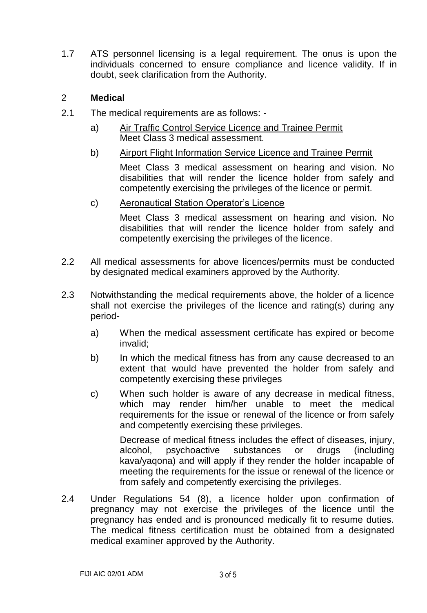1.7 ATS personnel licensing is a legal requirement. The onus is upon the individuals concerned to ensure compliance and licence validity. If in doubt, seek clarification from the Authority.

#### 2 **Medical**

- 2.1 The medical requirements are as follows:
	- a) Air Traffic Control Service Licence and Trainee Permit Meet Class 3 medical assessment.
	- b) Airport Flight Information Service Licence and Trainee Permit Meet Class 3 medical assessment on hearing and vision. No disabilities that will render the licence holder from safely and competently exercising the privileges of the licence or permit.
	- c) Aeronautical Station Operator's Licence

Meet Class 3 medical assessment on hearing and vision. No disabilities that will render the licence holder from safely and competently exercising the privileges of the licence.

- 2.2 All medical assessments for above licences/permits must be conducted by designated medical examiners approved by the Authority.
- 2.3 Notwithstanding the medical requirements above, the holder of a licence shall not exercise the privileges of the licence and rating(s) during any period
	- a) When the medical assessment certificate has expired or become invalid;
	- b) In which the medical fitness has from any cause decreased to an extent that would have prevented the holder from safely and competently exercising these privileges
	- c) When such holder is aware of any decrease in medical fitness, which may render him/her unable to meet the medical requirements for the issue or renewal of the licence or from safely and competently exercising these privileges.

Decrease of medical fitness includes the effect of diseases, injury, alcohol, psychoactive substances or drugs (including kava/yaqona) and will apply if they render the holder incapable of meeting the requirements for the issue or renewal of the licence or from safely and competently exercising the privileges.

2.4 Under Regulations 54 (8), a licence holder upon confirmation of pregnancy may not exercise the privileges of the licence until the pregnancy has ended and is pronounced medically fit to resume duties. The medical fitness certification must be obtained from a designated medical examiner approved by the Authority.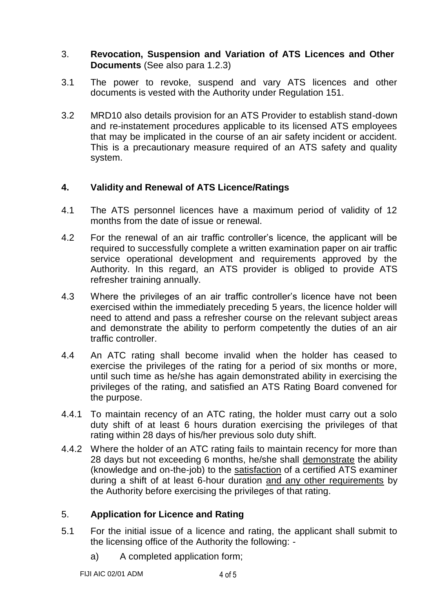- 3. **Revocation, Suspension and Variation of ATS Licences and Other Documents** (See also para 1.2.3)
- 3.1 The power to revoke, suspend and vary ATS licences and other documents is vested with the Authority under Regulation 151.
- 3.2 MRD10 also details provision for an ATS Provider to establish stand-down and re-instatement procedures applicable to its licensed ATS employees that may be implicated in the course of an air safety incident or accident. This is a precautionary measure required of an ATS safety and quality system.

## **4. Validity and Renewal of ATS Licence/Ratings**

- 4.1 The ATS personnel licences have a maximum period of validity of 12 months from the date of issue or renewal.
- 4.2 For the renewal of an air traffic controller's licence, the applicant will be required to successfully complete a written examination paper on air traffic service operational development and requirements approved by the Authority. In this regard, an ATS provider is obliged to provide ATS refresher training annually.
- 4.3 Where the privileges of an air traffic controller's licence have not been exercised within the immediately preceding 5 years, the licence holder will need to attend and pass a refresher course on the relevant subject areas and demonstrate the ability to perform competently the duties of an air traffic controller.
- 4.4 An ATC rating shall become invalid when the holder has ceased to exercise the privileges of the rating for a period of six months or more, until such time as he/she has again demonstrated ability in exercising the privileges of the rating, and satisfied an ATS Rating Board convened for the purpose.
- 4.4.1 To maintain recency of an ATC rating, the holder must carry out a solo duty shift of at least 6 hours duration exercising the privileges of that rating within 28 days of his/her previous solo duty shift.
- 4.4.2 Where the holder of an ATC rating fails to maintain recency for more than 28 days but not exceeding 6 months, he/she shall demonstrate the ability (knowledge and on-the-job) to the satisfaction of a certified ATS examiner during a shift of at least 6-hour duration and any other requirements by the Authority before exercising the privileges of that rating.

### 5. **Application for Licence and Rating**

- 5.1 For the initial issue of a licence and rating, the applicant shall submit to the licensing office of the Authority the following:
	- a) A completed application form;